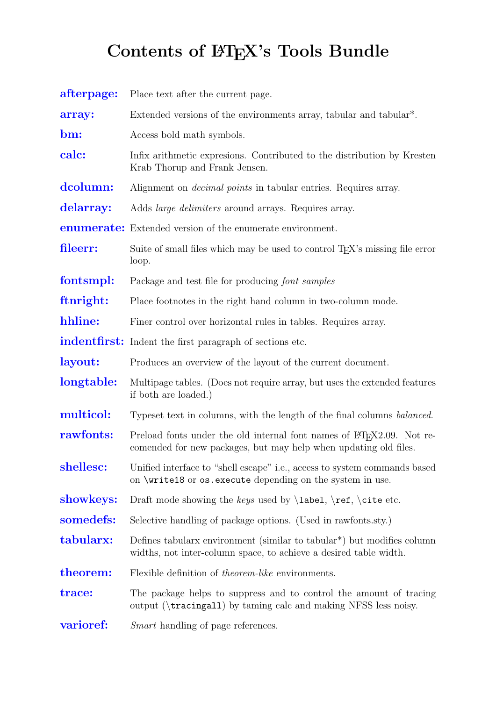## Contents of  $\mathbb{F}$ FEX's Tools Bundle

<span id="page-0-0"></span>

| afterpage: | Place text after the current page.                                                                                                                       |
|------------|----------------------------------------------------------------------------------------------------------------------------------------------------------|
| array:     | Extended versions of the environments array, tabular and tabular <sup>*</sup> .                                                                          |
| bm:        | Access bold math symbols.                                                                                                                                |
| calc:      | Infix arithmetic expresions. Contributed to the distribution by Kresten<br>Krab Thorup and Frank Jensen.                                                 |
| dcolumn:   | Alignment on <i>decimal points</i> in tabular entries. Requires array.                                                                                   |
| delarray:  | Adds <i>large delimiters</i> around arrays. Requires array.                                                                                              |
|            | <b>enumerate:</b> Extended version of the enumerate environment.                                                                                         |
| fileerr:   | Suite of small files which may be used to control T <sub>F</sub> X's missing file error<br>loop.                                                         |
| fontsmpl:  | Package and test file for producing font samples                                                                                                         |
| ftnright:  | Place footnotes in the right hand column in two-column mode.                                                                                             |
| hhline:    | Finer control over horizontal rules in tables. Requires array.                                                                                           |
|            | indentfirst: Indent the first paragraph of sections etc.                                                                                                 |
| layout:    | Produces an overview of the layout of the current document.                                                                                              |
| longtable: | Multipage tables. (Does not require array, but uses the extended features<br>if both are loaded.)                                                        |
| multicol:  | Typeset text in columns, with the length of the final columns <i>balanced</i> .                                                                          |
| rawfonts:  | Preload fonts under the old internal font names of LAT <sub>F</sub> X2.09. Not re-<br>comended for new packages, but may help when updating old files.   |
| shellesc:  | Unified interface to "shell escape" <i>i.e.</i> , access to system commands based<br>on \write18 or os.execute depending on the system in use.           |
| showkeys:  | Draft mode showing the keys used by $\label{eq:1}$ label, $\ref$ , $\cite$ etc.                                                                          |
| somedefs:  | Selective handling of package options. (Used in rawfonts.sty.)                                                                                           |
| tabularx:  | Defines tabulary environment (similar to tabular <sup>*</sup> ) but modifies column<br>widths, not inter-column space, to achieve a desired table width. |
| theorem:   | Flexible definition of <i>theorem-like</i> environments.                                                                                                 |
| trace:     | The package helps to suppress and to control the amount of tracing<br>output ( $\text{tracingall}$ ) by taming calc and making NFSS less noisy.          |
| varioref:  | <i>Smart</i> handling of page references.                                                                                                                |